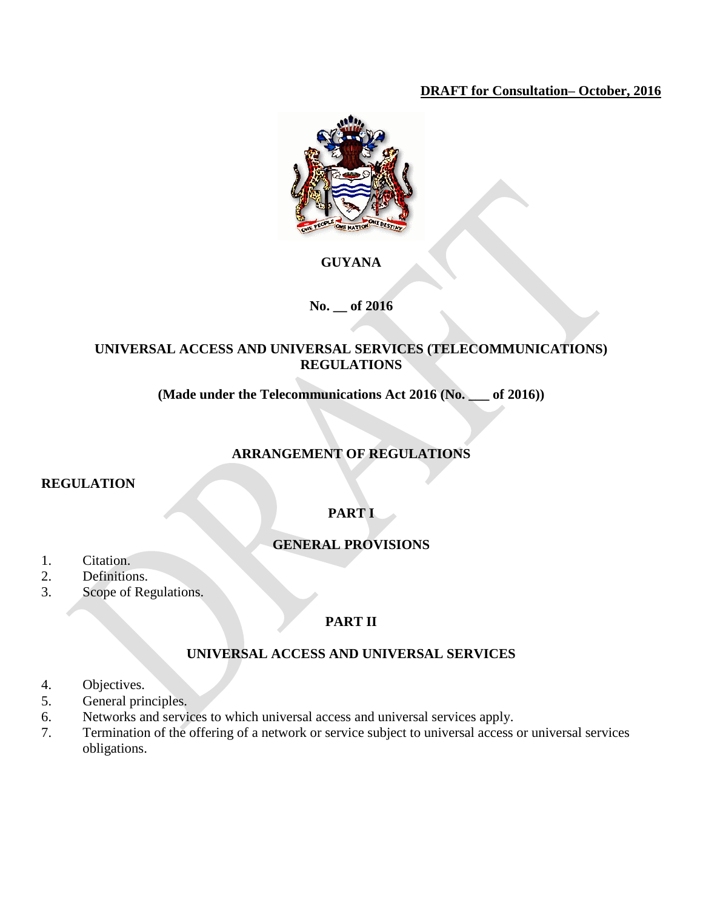## **DRAFT for Consultation– October, 2016**



# **GUYANA**

## **No. \_\_ of 2016**

## **UNIVERSAL ACCESS AND UNIVERSAL SERVICES (TELECOMMUNICATIONS) REGULATIONS**

**(Made under the Telecommunications Act 2016 (No. \_\_\_ of 2016))**

# **ARRANGEMENT OF REGULATIONS**

## **REGULATION**

# **PART I**

# **GENERAL PROVISIONS**

- 1. Citation.
- 2. Definitions.
- 3. Scope of Regulations.

## **PART II**

# **UNIVERSAL ACCESS AND UNIVERSAL SERVICES**

- 4. Objectives.
- 5. General principles.
- 6. Networks and services to which universal access and universal services apply.
- 7. Termination of the offering of a network or service subject to universal access or universal services obligations.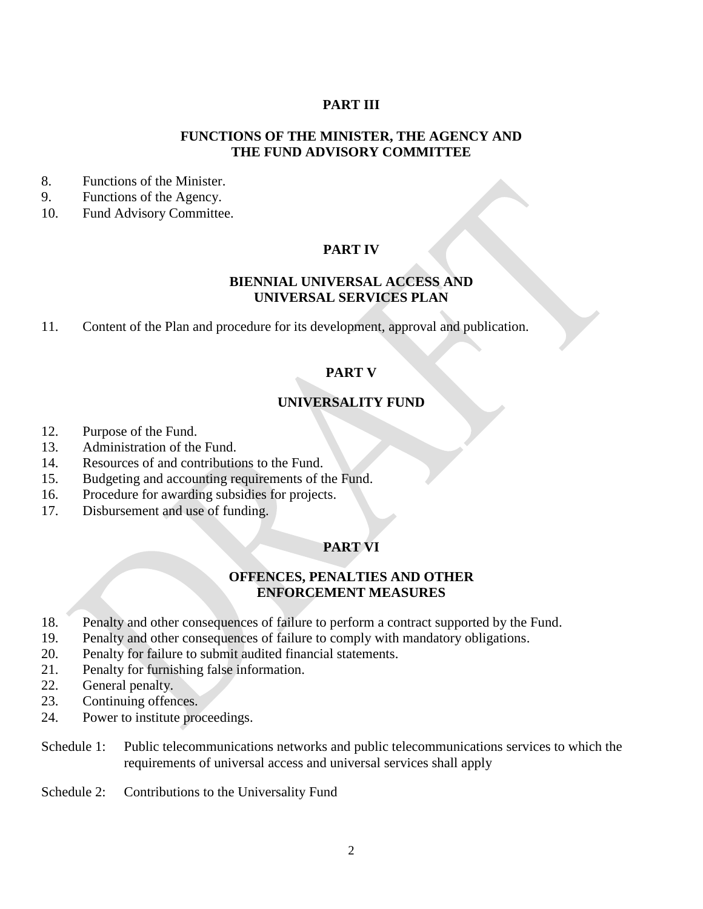### **PART III**

#### **FUNCTIONS OF THE MINISTER, THE AGENCY AND THE FUND ADVISORY COMMITTEE**

- 8. Functions of the Minister.
- 9. Functions of the Agency.
- 10. Fund Advisory Committee.

### **PART IV**

### **BIENNIAL UNIVERSAL ACCESS AND UNIVERSAL SERVICES PLAN**

11. Content of the Plan and procedure for its development, approval and publication.

### **PART V**

### **UNIVERSALITY FUND**

- 12. Purpose of the Fund.
- 13. Administration of the Fund.
- 14. Resources of and contributions to the Fund.
- 15. Budgeting and accounting requirements of the Fund.
- 16. Procedure for awarding subsidies for projects.
- 17. Disbursement and use of funding.

#### **PART VI**

#### **OFFENCES, PENALTIES AND OTHER ENFORCEMENT MEASURES**

- 18. Penalty and other consequences of failure to perform a contract supported by the Fund.
- 19. Penalty and other consequences of failure to comply with mandatory obligations.
- 20. Penalty for failure to submit audited financial statements.
- 21. Penalty for furnishing false information.
- 22. General penalty.
- 23. Continuing offences.
- 24. Power to institute proceedings.
- Schedule 1: Public telecommunications networks and public telecommunications services to which the requirements of universal access and universal services shall apply
- Schedule 2: Contributions to the Universality Fund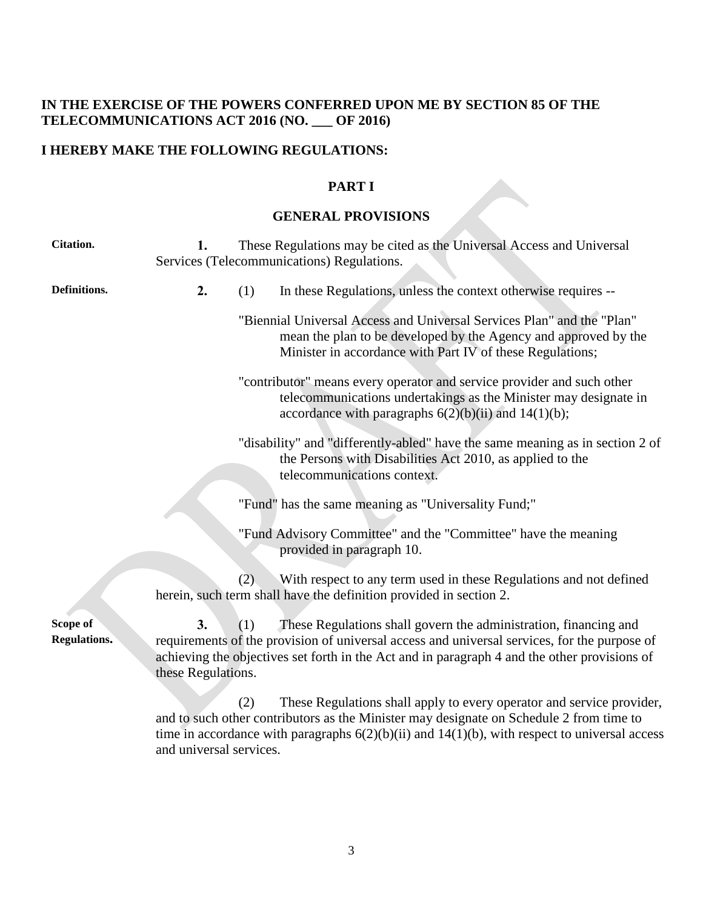## **IN THE EXERCISE OF THE POWERS CONFERRED UPON ME BY SECTION 85 OF THE TELECOMMUNICATIONS ACT 2016 (NO. \_\_\_ OF 2016)**

# **I HEREBY MAKE THE FOLLOWING REGULATIONS:**

and universal services.

### **PART I**

# **GENERAL PROVISIONS**

| <b>Citation.</b>         | 1.                       |     | These Regulations may be cited as the Universal Access and Universal<br>Services (Telecommunications) Regulations.                                                                                                                                                     |
|--------------------------|--------------------------|-----|------------------------------------------------------------------------------------------------------------------------------------------------------------------------------------------------------------------------------------------------------------------------|
| Definitions.             | 2.                       | (1) | In these Regulations, unless the context otherwise requires --                                                                                                                                                                                                         |
|                          |                          |     | "Biennial Universal Access and Universal Services Plan" and the "Plan"<br>mean the plan to be developed by the Agency and approved by the<br>Minister in accordance with Part IV of these Regulations;                                                                 |
|                          |                          |     | "contributor" means every operator and service provider and such other<br>telecommunications undertakings as the Minister may designate in<br>accordance with paragraphs $6(2)(b)(ii)$ and $14(1)(b)$ ;                                                                |
|                          |                          |     | "disability" and "differently-abled" have the same meaning as in section 2 of<br>the Persons with Disabilities Act 2010, as applied to the<br>telecommunications context.                                                                                              |
|                          |                          |     | "Fund" has the same meaning as "Universality Fund;"                                                                                                                                                                                                                    |
|                          |                          |     | "Fund Advisory Committee" and the "Committee" have the meaning<br>provided in paragraph 10.                                                                                                                                                                            |
|                          |                          | (2) | With respect to any term used in these Regulations and not defined<br>herein, such term shall have the definition provided in section 2.                                                                                                                               |
| Scope of<br>Regulations. | 3.<br>these Regulations. | (1) | These Regulations shall govern the administration, financing and<br>requirements of the provision of universal access and universal services, for the purpose of<br>achieving the objectives set forth in the Act and in paragraph 4 and the other provisions of       |
|                          |                          | (2) | These Regulations shall apply to every operator and service provider,<br>and to such other contributors as the Minister may designate on Schedule 2 from time to<br>time in accordance with paragraphs $6(2)(b)(ii)$ and $14(1)(b)$ , with respect to universal access |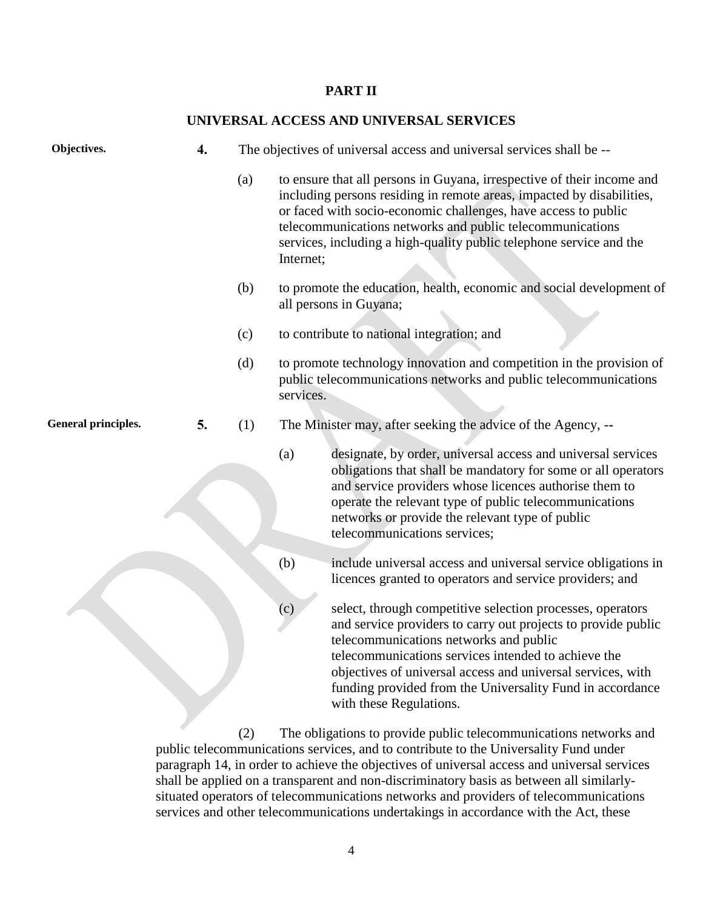#### **PART II**

#### **UNIVERSAL ACCESS AND UNIVERSAL SERVICES**

| Objectives.                | $\boldsymbol{4}$ . |     |           | The objectives of universal access and universal services shall be --                                                                                                                                                                                                                                                                                                               |
|----------------------------|--------------------|-----|-----------|-------------------------------------------------------------------------------------------------------------------------------------------------------------------------------------------------------------------------------------------------------------------------------------------------------------------------------------------------------------------------------------|
|                            |                    | (a) | Internet; | to ensure that all persons in Guyana, irrespective of their income and<br>including persons residing in remote areas, impacted by disabilities,<br>or faced with socio-economic challenges, have access to public<br>telecommunications networks and public telecommunications<br>services, including a high-quality public telephone service and the                               |
|                            |                    | (b) |           | to promote the education, health, economic and social development of<br>all persons in Guyana;                                                                                                                                                                                                                                                                                      |
|                            |                    | (c) |           | to contribute to national integration; and                                                                                                                                                                                                                                                                                                                                          |
|                            |                    | (d) | services. | to promote technology innovation and competition in the provision of<br>public telecommunications networks and public telecommunications                                                                                                                                                                                                                                            |
| <b>General principles.</b> | 5.                 | (1) |           | The Minister may, after seeking the advice of the Agency, --                                                                                                                                                                                                                                                                                                                        |
|                            |                    |     | (a)       | designate, by order, universal access and universal services<br>obligations that shall be mandatory for some or all operators<br>and service providers whose licences authorise them to<br>operate the relevant type of public telecommunications<br>networks or provide the relevant type of public<br>telecommunications services;                                                |
|                            |                    |     | (b)       | include universal access and universal service obligations in<br>licences granted to operators and service providers; and                                                                                                                                                                                                                                                           |
|                            |                    |     | (c)       | select, through competitive selection processes, operators<br>and service providers to carry out projects to provide public<br>telecommunications networks and public<br>telecommunications services intended to achieve the<br>objectives of universal access and universal services, with<br>funding provided from the Universality Fund in accordance<br>with these Regulations. |

(2) The obligations to provide public telecommunications networks and public telecommunications services, and to contribute to the Universality Fund under paragraph 14, in order to achieve the objectives of universal access and universal services shall be applied on a transparent and non-discriminatory basis as between all similarlysituated operators of telecommunications networks and providers of telecommunications services and other telecommunications undertakings in accordance with the Act, these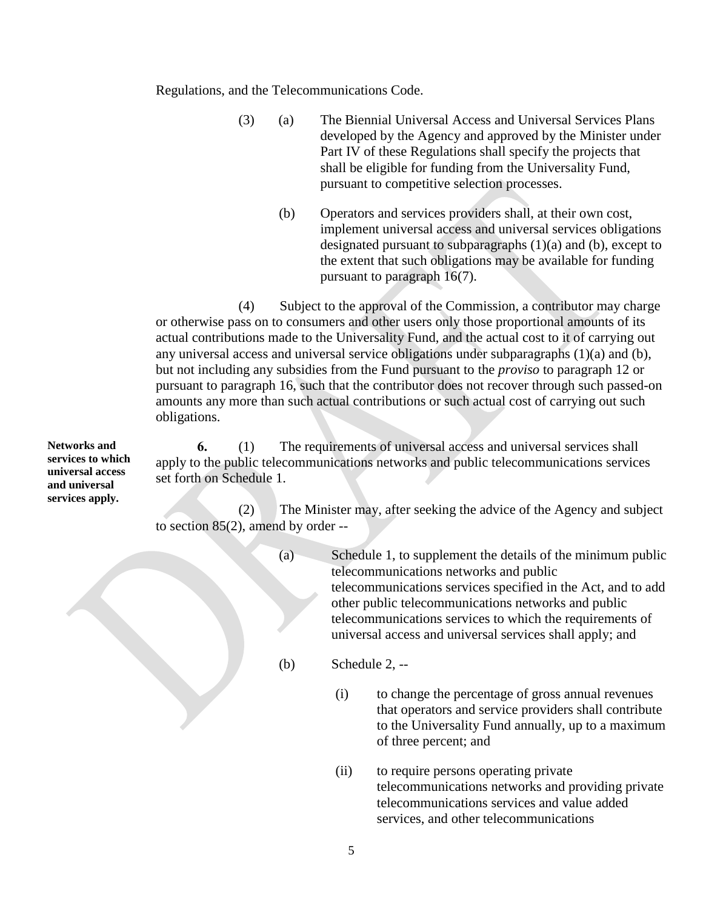Regulations, and the Telecommunications Code.

- (3) (a) The Biennial Universal Access and Universal Services Plans developed by the Agency and approved by the Minister under Part IV of these Regulations shall specify the projects that shall be eligible for funding from the Universality Fund, pursuant to competitive selection processes.
	- (b) Operators and services providers shall, at their own cost, implement universal access and universal services obligations designated pursuant to subparagraphs (1)(a) and (b), except to the extent that such obligations may be available for funding pursuant to paragraph 16(7).

(4) Subject to the approval of the Commission, a contributor may charge or otherwise pass on to consumers and other users only those proportional amounts of its actual contributions made to the Universality Fund, and the actual cost to it of carrying out any universal access and universal service obligations under subparagraphs (1)(a) and (b), but not including any subsidies from the Fund pursuant to the *proviso* to paragraph 12 or pursuant to paragraph 16, such that the contributor does not recover through such passed-on amounts any more than such actual contributions or such actual cost of carrying out such obligations.

**6.** (1) The requirements of universal access and universal services shall apply to the public telecommunications networks and public telecommunications services set forth on Schedule 1.

(2) The Minister may, after seeking the advice of the Agency and subject to section 85(2), amend by order --

- (a) Schedule 1, to supplement the details of the minimum public telecommunications networks and public telecommunications services specified in the Act, and to add other public telecommunications networks and public telecommunications services to which the requirements of universal access and universal services shall apply; and
- (b) Schedule 2, --
	- (i) to change the percentage of gross annual revenues that operators and service providers shall contribute to the Universality Fund annually, up to a maximum of three percent; and
	- (ii) to require persons operating private telecommunications networks and providing private telecommunications services and value added services, and other telecommunications

**Networks and services to which universal access and universal services apply.**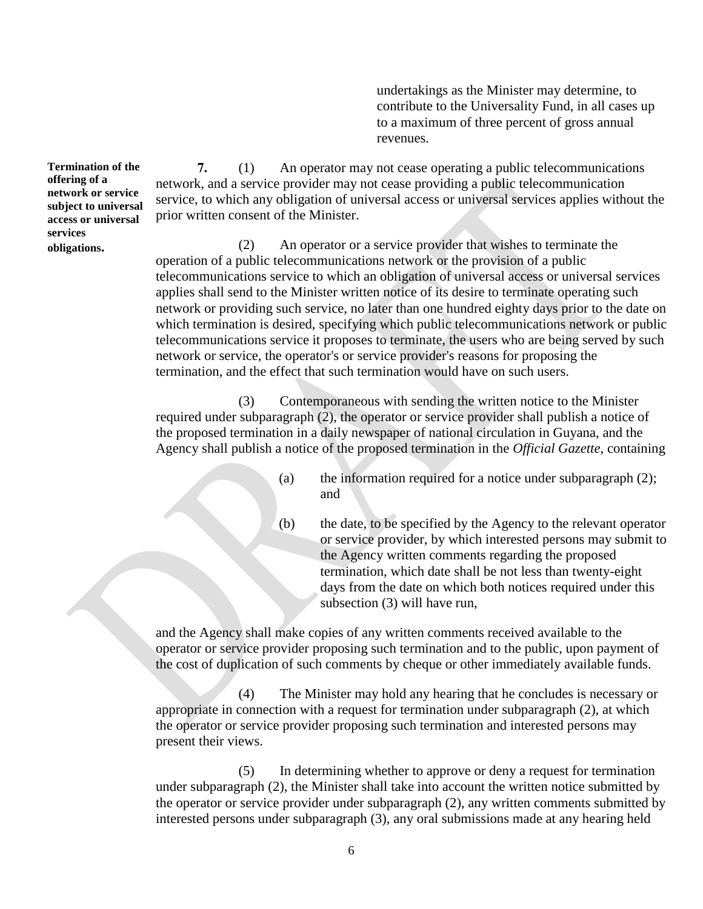undertakings as the Minister may determine, to contribute to the Universality Fund, in all cases up to a maximum of three percent of gross annual revenues.

**7.** (1) An operator may not cease operating a public telecommunications network, and a service provider may not cease providing a public telecommunication service, to which any obligation of universal access or universal services applies without the prior written consent of the Minister.

(2) An operator or a service provider that wishes to terminate the operation of a public telecommunications network or the provision of a public telecommunications service to which an obligation of universal access or universal services applies shall send to the Minister written notice of its desire to terminate operating such network or providing such service, no later than one hundred eighty days prior to the date on which termination is desired, specifying which public telecommunications network or public telecommunications service it proposes to terminate, the users who are being served by such network or service, the operator's or service provider's reasons for proposing the termination, and the effect that such termination would have on such users.

(3) Contemporaneous with sending the written notice to the Minister required under subparagraph (2), the operator or service provider shall publish a notice of the proposed termination in a daily newspaper of national circulation in Guyana, and the Agency shall publish a notice of the proposed termination in the *Official Gazette*, containing

- (a) the information required for a notice under subparagraph (2); and
- (b) the date, to be specified by the Agency to the relevant operator or service provider, by which interested persons may submit to the Agency written comments regarding the proposed termination, which date shall be not less than twenty-eight days from the date on which both notices required under this subsection (3) will have run,

and the Agency shall make copies of any written comments received available to the operator or service provider proposing such termination and to the public, upon payment of the cost of duplication of such comments by cheque or other immediately available funds.

(4) The Minister may hold any hearing that he concludes is necessary or appropriate in connection with a request for termination under subparagraph (2), at which the operator or service provider proposing such termination and interested persons may present their views.

(5) In determining whether to approve or deny a request for termination under subparagraph (2), the Minister shall take into account the written notice submitted by the operator or service provider under subparagraph (2), any written comments submitted by interested persons under subparagraph (3), any oral submissions made at any hearing held

**Termination of the offering of a network or service subject to universal access or universal services obligations.**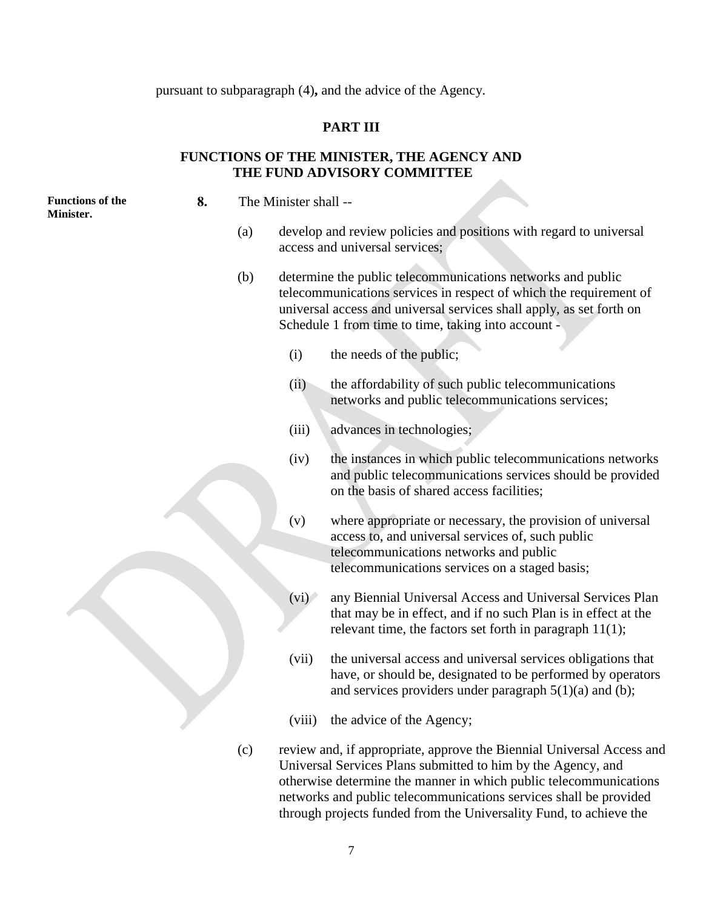pursuant to subparagraph (4)**,** and the advice of the Agency.

#### **PART III**

### **FUNCTIONS OF THE MINISTER, THE AGENCY AND THE FUND ADVISORY COMMITTEE**

**Functions of the Minister.**

**8.** The Minister shall --

- (a) develop and review policies and positions with regard to universal access and universal services;
- (b) determine the public telecommunications networks and public telecommunications services in respect of which the requirement of universal access and universal services shall apply, as set forth on Schedule 1 from time to time, taking into account -
	- (i) the needs of the public;
	- (ii) the affordability of such public telecommunications networks and public telecommunications services;
	- (iii) advances in technologies;
	- (iv) the instances in which public telecommunications networks and public telecommunications services should be provided on the basis of shared access facilities;
	- (v) where appropriate or necessary, the provision of universal access to, and universal services of, such public telecommunications networks and public telecommunications services on a staged basis;
	- (vi) any Biennial Universal Access and Universal Services Plan that may be in effect, and if no such Plan is in effect at the relevant time, the factors set forth in paragraph 11(1);
	- (vii) the universal access and universal services obligations that have, or should be, designated to be performed by operators and services providers under paragraph  $5(1)(a)$  and (b);
	- (viii) the advice of the Agency;
- (c) review and, if appropriate, approve the Biennial Universal Access and Universal Services Plans submitted to him by the Agency, and otherwise determine the manner in which public telecommunications networks and public telecommunications services shall be provided through projects funded from the Universality Fund, to achieve the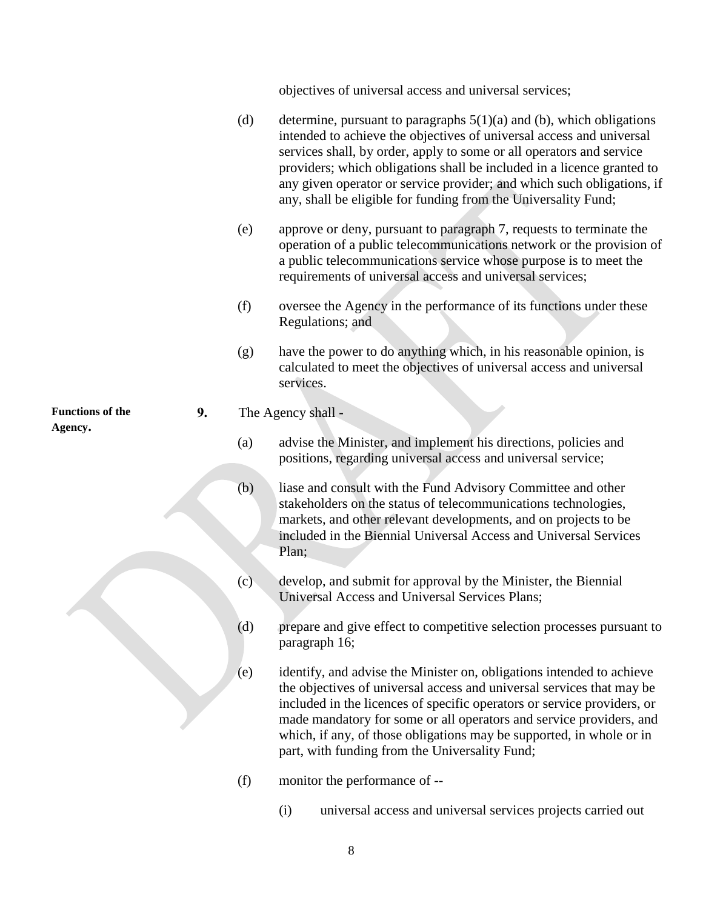objectives of universal access and universal services;

- (d) determine, pursuant to paragraphs  $5(1)(a)$  and (b), which obligations intended to achieve the objectives of universal access and universal services shall, by order, apply to some or all operators and service providers; which obligations shall be included in a licence granted to any given operator or service provider; and which such obligations, if any, shall be eligible for funding from the Universality Fund;
- (e) approve or deny, pursuant to paragraph 7, requests to terminate the operation of a public telecommunications network or the provision of a public telecommunications service whose purpose is to meet the requirements of universal access and universal services;
- (f) oversee the Agency in the performance of its functions under these Regulations; and
- (g) have the power to do anything which, in his reasonable opinion, is calculated to meet the objectives of universal access and universal services.

### **9.** The Agency shall -

- (a) advise the Minister, and implement his directions, policies and positions, regarding universal access and universal service;
- (b) liase and consult with the Fund Advisory Committee and other stakeholders on the status of telecommunications technologies, markets, and other relevant developments, and on projects to be included in the Biennial Universal Access and Universal Services Plan;
- (c) develop, and submit for approval by the Minister, the Biennial Universal Access and Universal Services Plans;
- (d) prepare and give effect to competitive selection processes pursuant to paragraph 16;
- (e) identify, and advise the Minister on, obligations intended to achieve the objectives of universal access and universal services that may be included in the licences of specific operators or service providers, or made mandatory for some or all operators and service providers, and which, if any, of those obligations may be supported, in whole or in part, with funding from the Universality Fund;
- (f) monitor the performance of --
	- (i) universal access and universal services projects carried out

**Functions of the Agency.**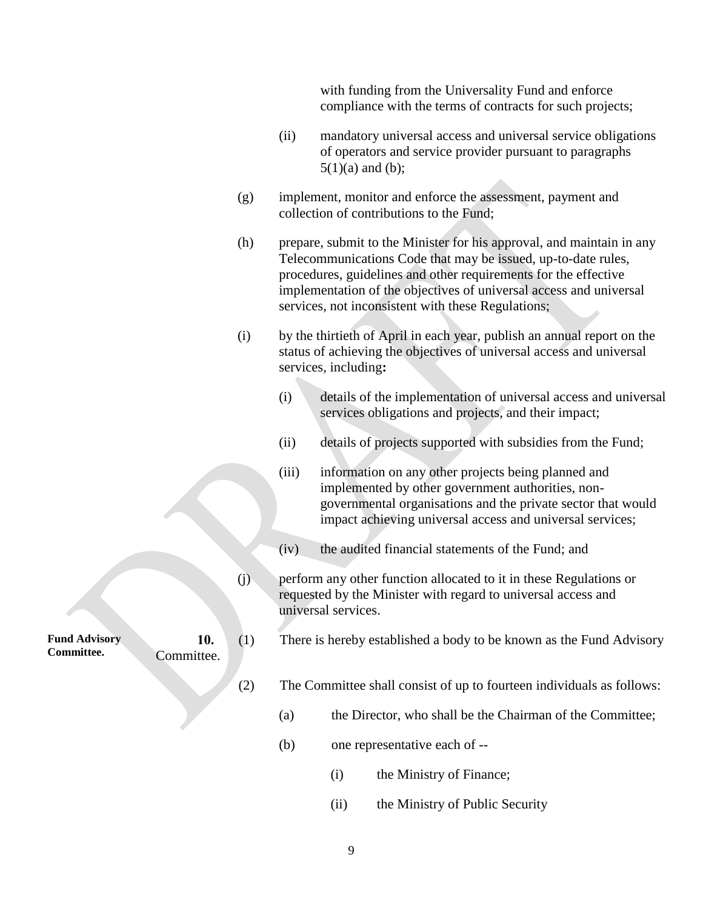with funding from the Universality Fund and enforce compliance with the terms of contracts for such projects;

- (ii) mandatory universal access and universal service obligations of operators and service provider pursuant to paragraphs  $5(1)(a)$  and (b);
- (g) implement, monitor and enforce the assessment, payment and collection of contributions to the Fund;
- (h) prepare, submit to the Minister for his approval, and maintain in any Telecommunications Code that may be issued, up-to-date rules, procedures, guidelines and other requirements for the effective implementation of the objectives of universal access and universal services, not inconsistent with these Regulations;
- (i) by the thirtieth of April in each year, publish an annual report on the status of achieving the objectives of universal access and universal services, including**:**
	- (i) details of the implementation of universal access and universal services obligations and projects, and their impact;
	- (ii) details of projects supported with subsidies from the Fund;
	- (iii) information on any other projects being planned and implemented by other government authorities, nongovernmental organisations and the private sector that would impact achieving universal access and universal services;
	- (iv) the audited financial statements of the Fund; and
- (j) perform any other function allocated to it in these Regulations or requested by the Minister with regard to universal access and universal services.
- **10.** (1) There is hereby established a body to be known as the Fund Advisory
	- (2) The Committee shall consist of up to fourteen individuals as follows:
		- (a) the Director, who shall be the Chairman of the Committee;
		- (b) one representative each of --
			- (i) the Ministry of Finance;
			- (ii) the Ministry of Public Security

**Fund Advisory Committee.**

Committee.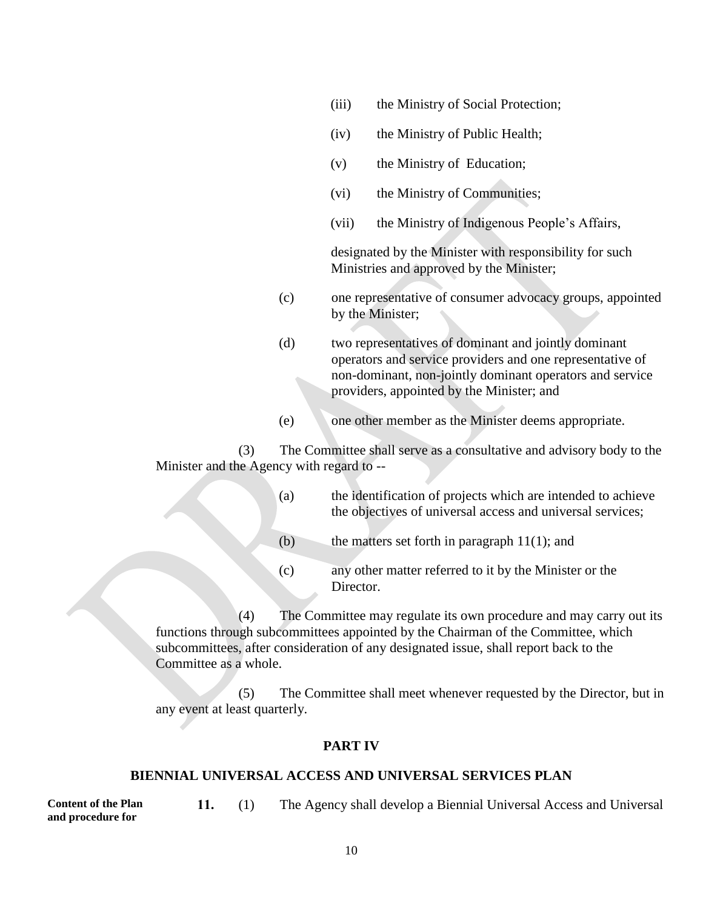- (iii) the Ministry of Social Protection;
- (iv) the Ministry of Public Health;
- (v) the Ministry of Education;
- (vi) the Ministry of Communities;
- (vii) the Ministry of Indigenous People's Affairs,

designated by the Minister with responsibility for such Ministries and approved by the Minister;

- (c) one representative of consumer advocacy groups, appointed by the Minister;
- (d) two representatives of dominant and jointly dominant operators and service providers and one representative of non-dominant, non-jointly dominant operators and service providers, appointed by the Minister; and
- (e) one other member as the Minister deems appropriate.

(3) The Committee shall serve as a consultative and advisory body to the Minister and the Agency with regard to --

| (a) | the identification of projects which are intended to achieve<br>the objectives of universal access and universal services; |
|-----|----------------------------------------------------------------------------------------------------------------------------|
| (b) | the matters set forth in paragraph $11(1)$ ; and                                                                           |
| (c) | any other matter referred to it by the Minister or the<br>Director.                                                        |

(4) The Committee may regulate its own procedure and may carry out its functions through subcommittees appointed by the Chairman of the Committee, which subcommittees, after consideration of any designated issue, shall report back to the Committee as a whole.

(5) The Committee shall meet whenever requested by the Director, but in any event at least quarterly.

#### **PART IV**

#### **BIENNIAL UNIVERSAL ACCESS AND UNIVERSAL SERVICES PLAN**

**Content of the Plan and procedure for 11.** (1) The Agency shall develop a Biennial Universal Access and Universal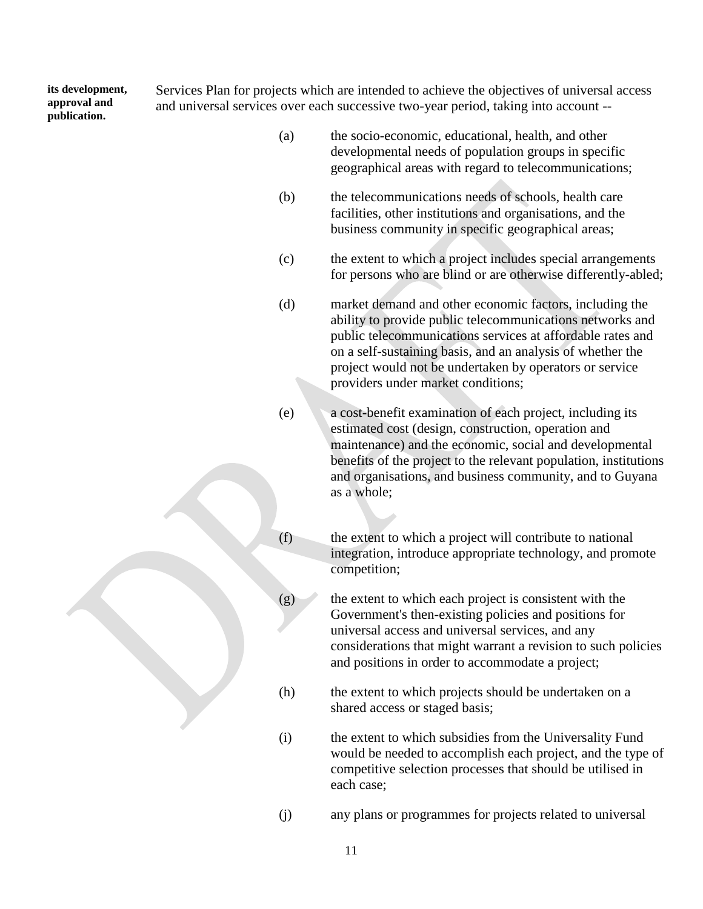**its development, approval and publication.**

Services Plan for projects which are intended to achieve the objectives of universal access and universal services over each successive two-year period, taking into account --

- (a) the socio-economic, educational, health, and other developmental needs of population groups in specific geographical areas with regard to telecommunications;
- (b) the telecommunications needs of schools, health care facilities, other institutions and organisations, and the business community in specific geographical areas;
- (c) the extent to which a project includes special arrangements for persons who are blind or are otherwise differently-abled;
- (d) market demand and other economic factors, including the ability to provide public telecommunications networks and public telecommunications services at affordable rates and on a self-sustaining basis, and an analysis of whether the project would not be undertaken by operators or service providers under market conditions;
- (e) a cost-benefit examination of each project, including its estimated cost (design, construction, operation and maintenance) and the economic, social and developmental benefits of the project to the relevant population, institutions and organisations, and business community, and to Guyana as a whole;
- (f) the extent to which a project will contribute to national integration, introduce appropriate technology, and promote competition;
- $(g)$  the extent to which each project is consistent with the Government's then-existing policies and positions for universal access and universal services, and any considerations that might warrant a revision to such policies and positions in order to accommodate a project;
- (h) the extent to which projects should be undertaken on a shared access or staged basis;
- (i) the extent to which subsidies from the Universality Fund would be needed to accomplish each project, and the type of competitive selection processes that should be utilised in each case;
- (j) any plans or programmes for projects related to universal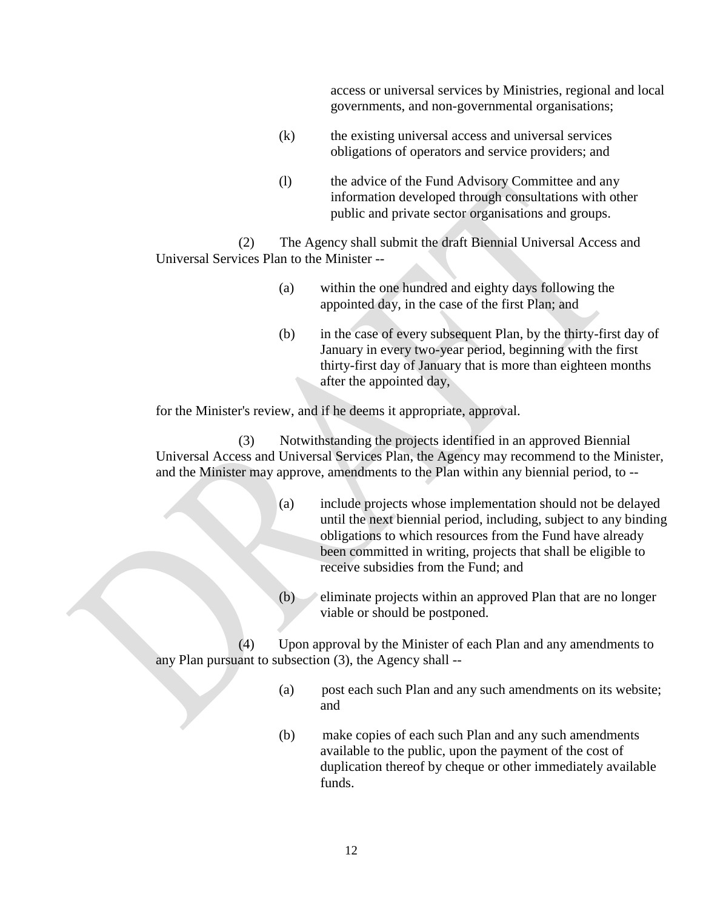access or universal services by Ministries, regional and local governments, and non-governmental organisations;

- (k) the existing universal access and universal services obligations of operators and service providers; and
- (l) the advice of the Fund Advisory Committee and any information developed through consultations with other public and private sector organisations and groups.

(2) The Agency shall submit the draft Biennial Universal Access and Universal Services Plan to the Minister --

- (a) within the one hundred and eighty days following the appointed day, in the case of the first Plan; and
- (b) in the case of every subsequent Plan, by the thirty-first day of January in every two-year period, beginning with the first thirty-first day of January that is more than eighteen months after the appointed day,

for the Minister's review, and if he deems it appropriate, approval.

(3) Notwithstanding the projects identified in an approved Biennial Universal Access and Universal Services Plan, the Agency may recommend to the Minister, and the Minister may approve, amendments to the Plan within any biennial period, to --

- (a) include projects whose implementation should not be delayed until the next biennial period, including, subject to any binding obligations to which resources from the Fund have already been committed in writing, projects that shall be eligible to receive subsidies from the Fund; and
- $(b)$  eliminate projects within an approved Plan that are no longer viable or should be postponed.

(4) Upon approval by the Minister of each Plan and any amendments to any Plan pursuant to subsection (3), the Agency shall --

- (a) post each such Plan and any such amendments on its website; and
- (b) make copies of each such Plan and any such amendments available to the public, upon the payment of the cost of duplication thereof by cheque or other immediately available funds.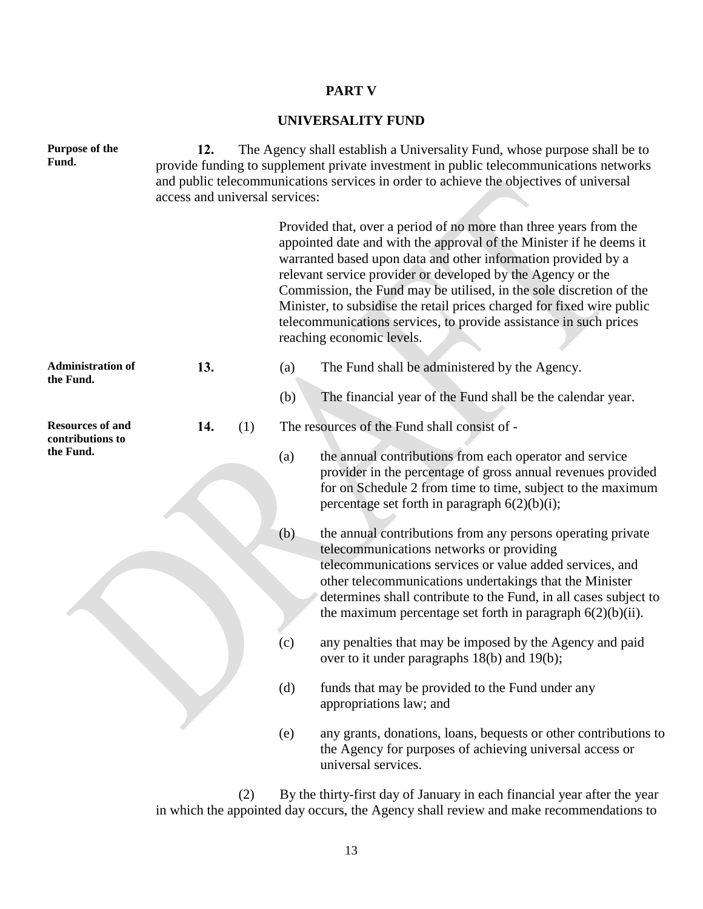# **PART V**

## **UNIVERSALITY FUND**

| Purpose of the<br>Fund.                                  | The Agency shall establish a Universality Fund, whose purpose shall be to<br>12.<br>provide funding to supplement private investment in public telecommunications networks<br>and public telecommunications services in order to achieve the objectives of universal<br>access and universal services: |  |     |                                                                                                                                                                                                                                                                                                                                                                                                                                                                                                                             |  |
|----------------------------------------------------------|--------------------------------------------------------------------------------------------------------------------------------------------------------------------------------------------------------------------------------------------------------------------------------------------------------|--|-----|-----------------------------------------------------------------------------------------------------------------------------------------------------------------------------------------------------------------------------------------------------------------------------------------------------------------------------------------------------------------------------------------------------------------------------------------------------------------------------------------------------------------------------|--|
|                                                          |                                                                                                                                                                                                                                                                                                        |  |     | Provided that, over a period of no more than three years from the<br>appointed date and with the approval of the Minister if he deems it<br>warranted based upon data and other information provided by a<br>relevant service provider or developed by the Agency or the<br>Commission, the Fund may be utilised, in the sole discretion of the<br>Minister, to subsidise the retail prices charged for fixed wire public<br>telecommunications services, to provide assistance in such prices<br>reaching economic levels. |  |
| <b>Administration of</b><br>the Fund.                    | 13.                                                                                                                                                                                                                                                                                                    |  | (a) | The Fund shall be administered by the Agency.                                                                                                                                                                                                                                                                                                                                                                                                                                                                               |  |
|                                                          |                                                                                                                                                                                                                                                                                                        |  | (b) | The financial year of the Fund shall be the calendar year.                                                                                                                                                                                                                                                                                                                                                                                                                                                                  |  |
| <b>Resources of and</b><br>contributions to<br>the Fund. | 14.<br>(1)                                                                                                                                                                                                                                                                                             |  | (a) | The resources of the Fund shall consist of -<br>the annual contributions from each operator and service<br>provider in the percentage of gross annual revenues provided<br>for on Schedule 2 from time to time, subject to the maximum<br>percentage set forth in paragraph $6(2)(b)(i)$ ;                                                                                                                                                                                                                                  |  |
|                                                          |                                                                                                                                                                                                                                                                                                        |  | (b) | the annual contributions from any persons operating private<br>telecommunications networks or providing<br>telecommunications services or value added services, and<br>other telecommunications undertakings that the Minister<br>determines shall contribute to the Fund, in all cases subject to<br>the maximum percentage set forth in paragraph $6(2)(b)(ii)$ .                                                                                                                                                         |  |
|                                                          |                                                                                                                                                                                                                                                                                                        |  | (c) | any penalties that may be imposed by the Agency and paid<br>over to it under paragraphs 18(b) and 19(b);                                                                                                                                                                                                                                                                                                                                                                                                                    |  |
|                                                          |                                                                                                                                                                                                                                                                                                        |  | (d) | funds that may be provided to the Fund under any<br>appropriations law; and                                                                                                                                                                                                                                                                                                                                                                                                                                                 |  |
|                                                          |                                                                                                                                                                                                                                                                                                        |  | (e) | any grants, donations, loans, bequests or other contributions to<br>the Agency for purposes of achieving universal access or<br>universal services.                                                                                                                                                                                                                                                                                                                                                                         |  |

(2) By the thirty-first day of January in each financial year after the year in which the appointed day occurs, the Agency shall review and make recommendations to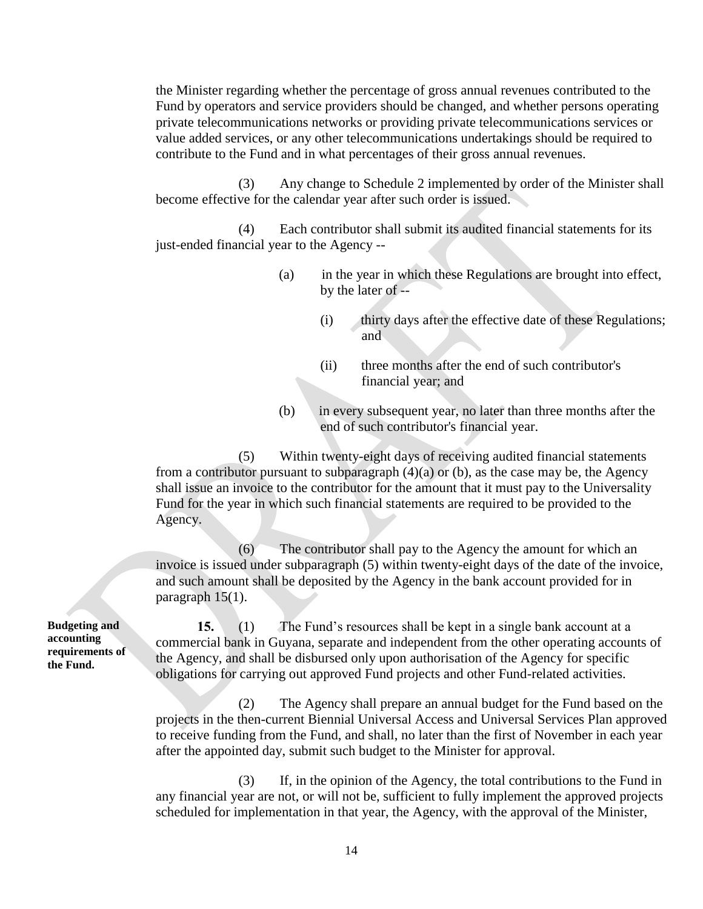the Minister regarding whether the percentage of gross annual revenues contributed to the Fund by operators and service providers should be changed, and whether persons operating private telecommunications networks or providing private telecommunications services or value added services, or any other telecommunications undertakings should be required to contribute to the Fund and in what percentages of their gross annual revenues.

(3) Any change to Schedule 2 implemented by order of the Minister shall become effective for the calendar year after such order is issued.

(4) Each contributor shall submit its audited financial statements for its just-ended financial year to the Agency --

- (a) in the year in which these Regulations are brought into effect, by the later of --
	- (i) thirty days after the effective date of these Regulations; and
	- (ii) three months after the end of such contributor's financial year; and
- (b) in every subsequent year, no later than three months after the end of such contributor's financial year.

(5) Within twenty-eight days of receiving audited financial statements from a contributor pursuant to subparagraph (4)(a) or (b), as the case may be, the Agency shall issue an invoice to the contributor for the amount that it must pay to the Universality Fund for the year in which such financial statements are required to be provided to the Agency.

(6) The contributor shall pay to the Agency the amount for which an invoice is issued under subparagraph (5) within twenty-eight days of the date of the invoice, and such amount shall be deposited by the Agency in the bank account provided for in paragraph 15(1).

**15.** (1) The Fund's resources shall be kept in a single bank account at a commercial bank in Guyana, separate and independent from the other operating accounts of the Agency, and shall be disbursed only upon authorisation of the Agency for specific obligations for carrying out approved Fund projects and other Fund-related activities.

(2) The Agency shall prepare an annual budget for the Fund based on the projects in the then-current Biennial Universal Access and Universal Services Plan approved to receive funding from the Fund, and shall, no later than the first of November in each year after the appointed day, submit such budget to the Minister for approval.

(3) If, in the opinion of the Agency, the total contributions to the Fund in any financial year are not, or will not be, sufficient to fully implement the approved projects scheduled for implementation in that year, the Agency, with the approval of the Minister,

**Budgeting and accounting requirements of the Fund.**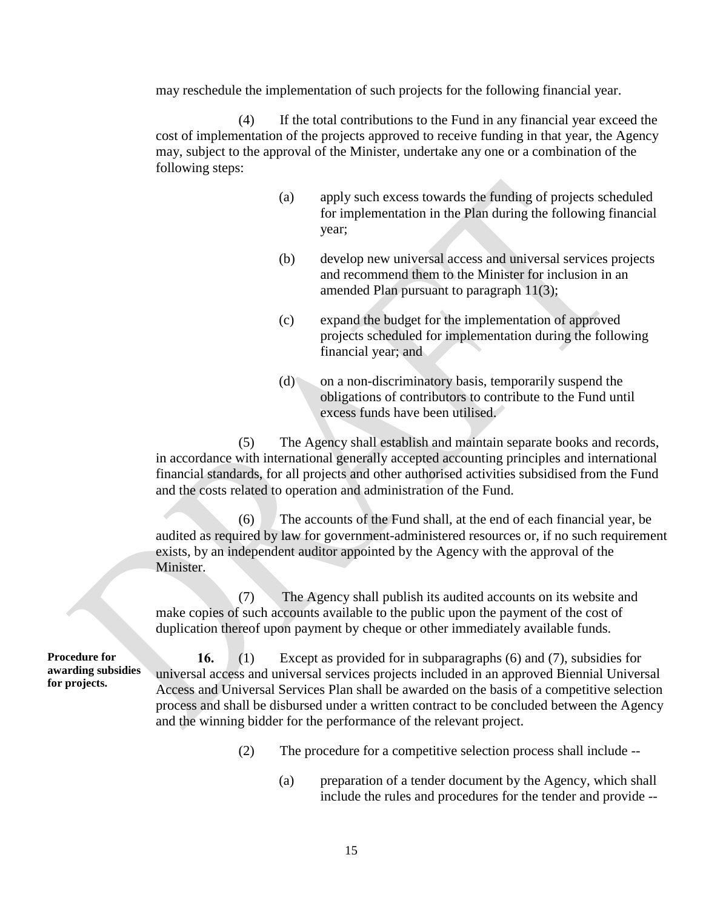may reschedule the implementation of such projects for the following financial year.

(4) If the total contributions to the Fund in any financial year exceed the cost of implementation of the projects approved to receive funding in that year, the Agency may, subject to the approval of the Minister, undertake any one or a combination of the following steps:

- (a) apply such excess towards the funding of projects scheduled for implementation in the Plan during the following financial year;
- (b) develop new universal access and universal services projects and recommend them to the Minister for inclusion in an amended Plan pursuant to paragraph 11(3);
- (c) expand the budget for the implementation of approved projects scheduled for implementation during the following financial year; and
- (d) on a non-discriminatory basis, temporarily suspend the obligations of contributors to contribute to the Fund until excess funds have been utilised.

(5) The Agency shall establish and maintain separate books and records, in accordance with international generally accepted accounting principles and international financial standards, for all projects and other authorised activities subsidised from the Fund and the costs related to operation and administration of the Fund.

(6) The accounts of the Fund shall, at the end of each financial year, be audited as required by law for government-administered resources or, if no such requirement exists, by an independent auditor appointed by the Agency with the approval of the Minister.

(7) The Agency shall publish its audited accounts on its website and make copies of such accounts available to the public upon the payment of the cost of duplication thereof upon payment by cheque or other immediately available funds.

**Procedure for awarding subsidies for projects.**

**16.** (1) Except as provided for in subparagraphs (6) and (7), subsidies for universal access and universal services projects included in an approved Biennial Universal Access and Universal Services Plan shall be awarded on the basis of a competitive selection process and shall be disbursed under a written contract to be concluded between the Agency and the winning bidder for the performance of the relevant project.

- (2) The procedure for a competitive selection process shall include --
	- (a) preparation of a tender document by the Agency, which shall include the rules and procedures for the tender and provide --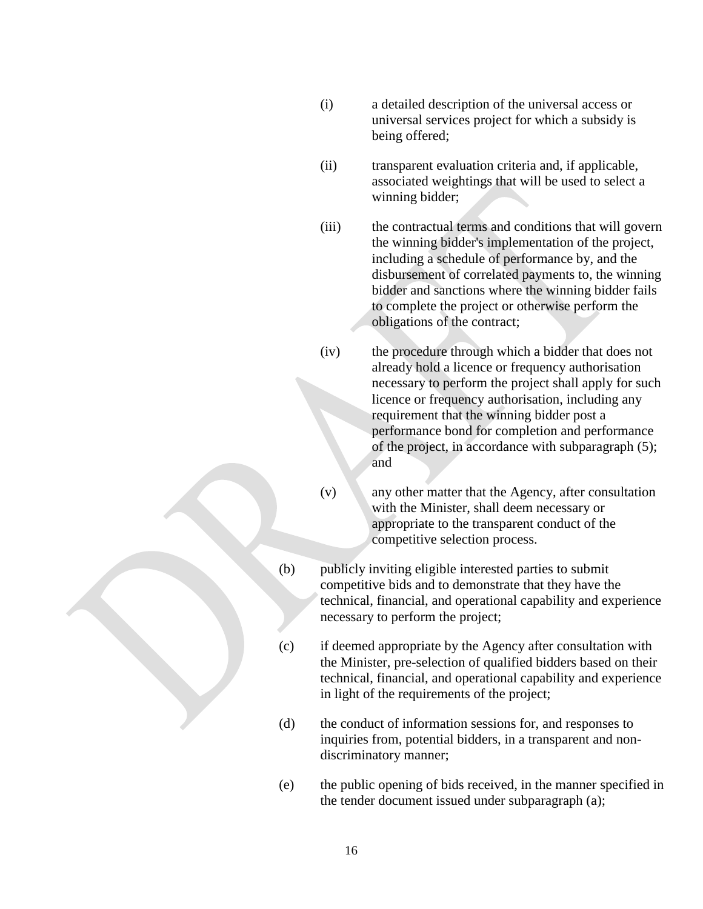- (i) a detailed description of the universal access or universal services project for which a subsidy is being offered;
- (ii) transparent evaluation criteria and, if applicable, associated weightings that will be used to select a winning bidder;
- (iii) the contractual terms and conditions that will govern the winning bidder's implementation of the project, including a schedule of performance by, and the disbursement of correlated payments to, the winning bidder and sanctions where the winning bidder fails to complete the project or otherwise perform the obligations of the contract;
- (iv) the procedure through which a bidder that does not already hold a licence or frequency authorisation necessary to perform the project shall apply for such licence or frequency authorisation, including any requirement that the winning bidder post a performance bond for completion and performance of the project, in accordance with subparagraph (5); and
- (v) any other matter that the Agency, after consultation with the Minister, shall deem necessary or appropriate to the transparent conduct of the competitive selection process.
- (b) publicly inviting eligible interested parties to submit competitive bids and to demonstrate that they have the technical, financial, and operational capability and experience necessary to perform the project;
- (c) if deemed appropriate by the Agency after consultation with the Minister, pre-selection of qualified bidders based on their technical, financial, and operational capability and experience in light of the requirements of the project;
- (d) the conduct of information sessions for, and responses to inquiries from, potential bidders, in a transparent and nondiscriminatory manner;
- (e) the public opening of bids received, in the manner specified in the tender document issued under subparagraph (a);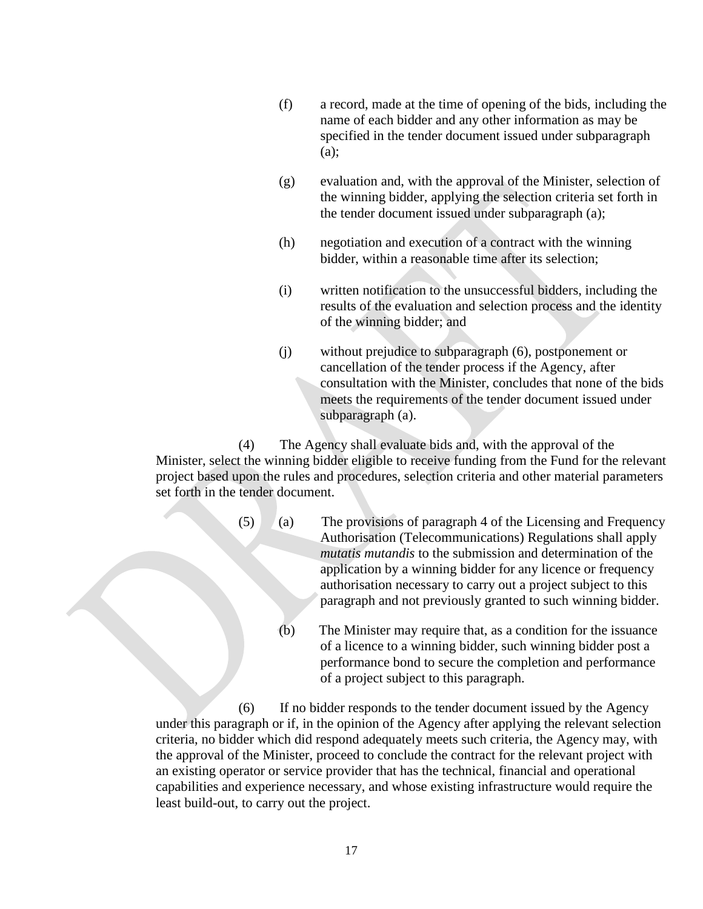- (f) a record, made at the time of opening of the bids, including the name of each bidder and any other information as may be specified in the tender document issued under subparagraph (a);
- (g) evaluation and, with the approval of the Minister, selection of the winning bidder, applying the selection criteria set forth in the tender document issued under subparagraph (a);
- (h) negotiation and execution of a contract with the winning bidder, within a reasonable time after its selection;
- (i) written notification to the unsuccessful bidders, including the results of the evaluation and selection process and the identity of the winning bidder; and
- (j) without prejudice to subparagraph (6), postponement or cancellation of the tender process if the Agency, after consultation with the Minister, concludes that none of the bids meets the requirements of the tender document issued under subparagraph (a).

(4) The Agency shall evaluate bids and, with the approval of the Minister, select the winning bidder eligible to receive funding from the Fund for the relevant project based upon the rules and procedures, selection criteria and other material parameters set forth in the tender document.

- (5) (a) The provisions of paragraph 4 of the Licensing and Frequency Authorisation (Telecommunications) Regulations shall apply *mutatis mutandis* to the submission and determination of the application by a winning bidder for any licence or frequency authorisation necessary to carry out a project subject to this paragraph and not previously granted to such winning bidder.
	- (b) The Minister may require that, as a condition for the issuance of a licence to a winning bidder, such winning bidder post a performance bond to secure the completion and performance of a project subject to this paragraph.

(6) If no bidder responds to the tender document issued by the Agency under this paragraph or if, in the opinion of the Agency after applying the relevant selection criteria, no bidder which did respond adequately meets such criteria, the Agency may, with the approval of the Minister, proceed to conclude the contract for the relevant project with an existing operator or service provider that has the technical, financial and operational capabilities and experience necessary, and whose existing infrastructure would require the least build-out, to carry out the project.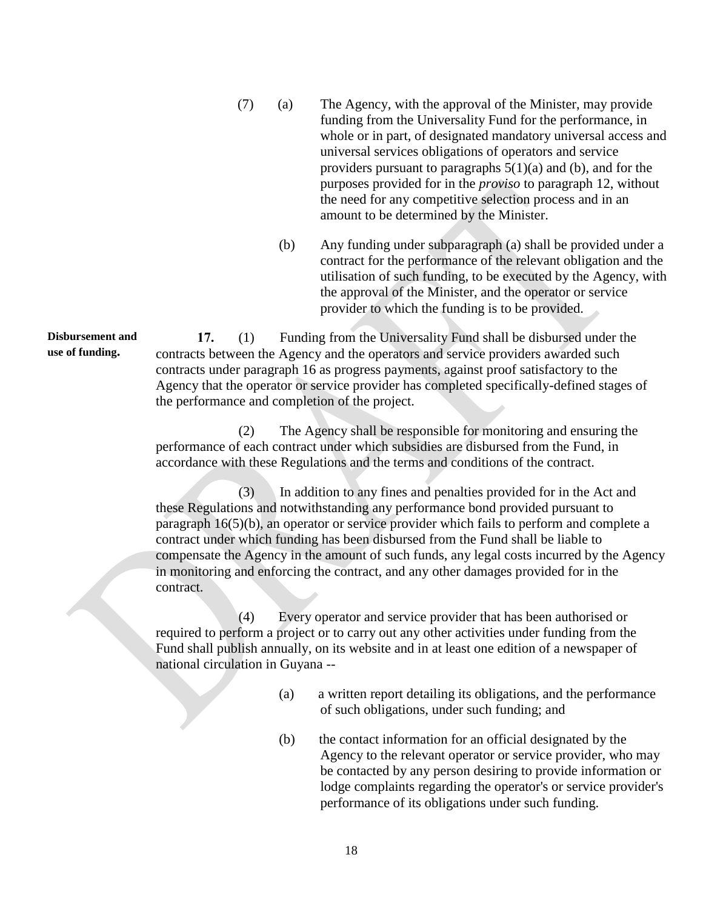- (7) (a) The Agency, with the approval of the Minister, may provide funding from the Universality Fund for the performance, in whole or in part, of designated mandatory universal access and universal services obligations of operators and service providers pursuant to paragraphs  $5(1)(a)$  and (b), and for the purposes provided for in the *proviso* to paragraph 12, without the need for any competitive selection process and in an amount to be determined by the Minister.
	- (b) Any funding under subparagraph (a) shall be provided under a contract for the performance of the relevant obligation and the utilisation of such funding, to be executed by the Agency, with the approval of the Minister, and the operator or service provider to which the funding is to be provided.

**17.** (1) Funding from the Universality Fund shall be disbursed under the contracts between the Agency and the operators and service providers awarded such contracts under paragraph 16 as progress payments, against proof satisfactory to the Agency that the operator or service provider has completed specifically-defined stages of the performance and completion of the project.

(2) The Agency shall be responsible for monitoring and ensuring the performance of each contract under which subsidies are disbursed from the Fund, in accordance with these Regulations and the terms and conditions of the contract.

(3) In addition to any fines and penalties provided for in the Act and these Regulations and notwithstanding any performance bond provided pursuant to paragraph 16(5)(b), an operator or service provider which fails to perform and complete a contract under which funding has been disbursed from the Fund shall be liable to compensate the Agency in the amount of such funds, any legal costs incurred by the Agency in monitoring and enforcing the contract, and any other damages provided for in the contract.

(4) Every operator and service provider that has been authorised or required to perform a project or to carry out any other activities under funding from the Fund shall publish annually, on its website and in at least one edition of a newspaper of national circulation in Guyana --

- (a) a written report detailing its obligations, and the performance of such obligations, under such funding; and
- (b) the contact information for an official designated by the Agency to the relevant operator or service provider, who may be contacted by any person desiring to provide information or lodge complaints regarding the operator's or service provider's performance of its obligations under such funding.

**Disbursement and use of funding.**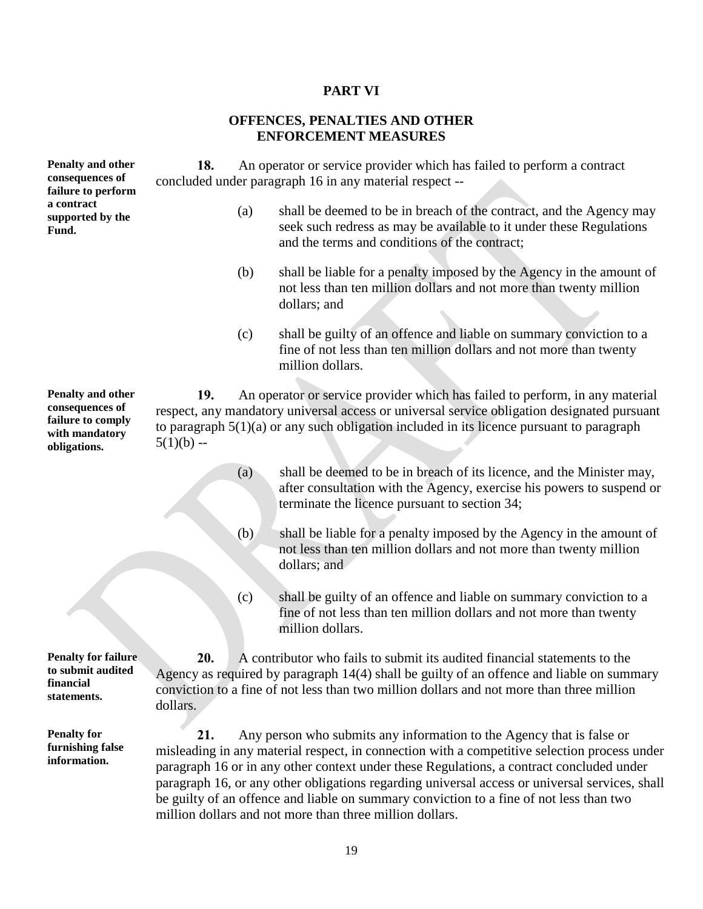# **PART VI**

## **OFFENCES, PENALTIES AND OTHER ENFORCEMENT MEASURES**

| Penalty and other<br>consequences of<br>failure to perform                                  | An operator or service provider which has failed to perform a contract<br>18.<br>concluded under paragraph 16 in any material respect -- |     |                                                                                                                                                                                                                                                                                                                                                                                                                                                                                                                            |  |  |  |
|---------------------------------------------------------------------------------------------|------------------------------------------------------------------------------------------------------------------------------------------|-----|----------------------------------------------------------------------------------------------------------------------------------------------------------------------------------------------------------------------------------------------------------------------------------------------------------------------------------------------------------------------------------------------------------------------------------------------------------------------------------------------------------------------------|--|--|--|
| a contract<br>supported by the<br>Fund.                                                     |                                                                                                                                          | (a) | shall be deemed to be in breach of the contract, and the Agency may<br>seek such redress as may be available to it under these Regulations<br>and the terms and conditions of the contract;                                                                                                                                                                                                                                                                                                                                |  |  |  |
|                                                                                             |                                                                                                                                          | (b) | shall be liable for a penalty imposed by the Agency in the amount of<br>not less than ten million dollars and not more than twenty million<br>dollars; and                                                                                                                                                                                                                                                                                                                                                                 |  |  |  |
|                                                                                             |                                                                                                                                          | (c) | shall be guilty of an offence and liable on summary conviction to a<br>fine of not less than ten million dollars and not more than twenty<br>million dollars.                                                                                                                                                                                                                                                                                                                                                              |  |  |  |
| Penalty and other<br>consequences of<br>failure to comply<br>with mandatory<br>obligations. | 19.<br>$5(1)(b) -$                                                                                                                       |     | An operator or service provider which has failed to perform, in any material<br>respect, any mandatory universal access or universal service obligation designated pursuant<br>to paragraph $5(1)(a)$ or any such obligation included in its licence pursuant to paragraph                                                                                                                                                                                                                                                 |  |  |  |
|                                                                                             |                                                                                                                                          | (a) | shall be deemed to be in breach of its licence, and the Minister may,<br>after consultation with the Agency, exercise his powers to suspend or<br>terminate the licence pursuant to section 34;                                                                                                                                                                                                                                                                                                                            |  |  |  |
|                                                                                             |                                                                                                                                          | (b) | shall be liable for a penalty imposed by the Agency in the amount of<br>not less than ten million dollars and not more than twenty million<br>dollars; and                                                                                                                                                                                                                                                                                                                                                                 |  |  |  |
|                                                                                             |                                                                                                                                          | (c) | shall be guilty of an offence and liable on summary conviction to a<br>fine of not less than ten million dollars and not more than twenty<br>million dollars.                                                                                                                                                                                                                                                                                                                                                              |  |  |  |
| <b>Penalty for failure</b><br>to submit audited<br>financial<br>statements.                 | 20.<br>dollars.                                                                                                                          |     | A contributor who fails to submit its audited financial statements to the<br>Agency as required by paragraph 14(4) shall be guilty of an offence and liable on summary<br>conviction to a fine of not less than two million dollars and not more than three million                                                                                                                                                                                                                                                        |  |  |  |
| <b>Penalty for</b><br>furnishing false<br>information.                                      | 21.                                                                                                                                      |     | Any person who submits any information to the Agency that is false or<br>misleading in any material respect, in connection with a competitive selection process under<br>paragraph 16 or in any other context under these Regulations, a contract concluded under<br>paragraph 16, or any other obligations regarding universal access or universal services, shall<br>be guilty of an offence and liable on summary conviction to a fine of not less than two<br>million dollars and not more than three million dollars. |  |  |  |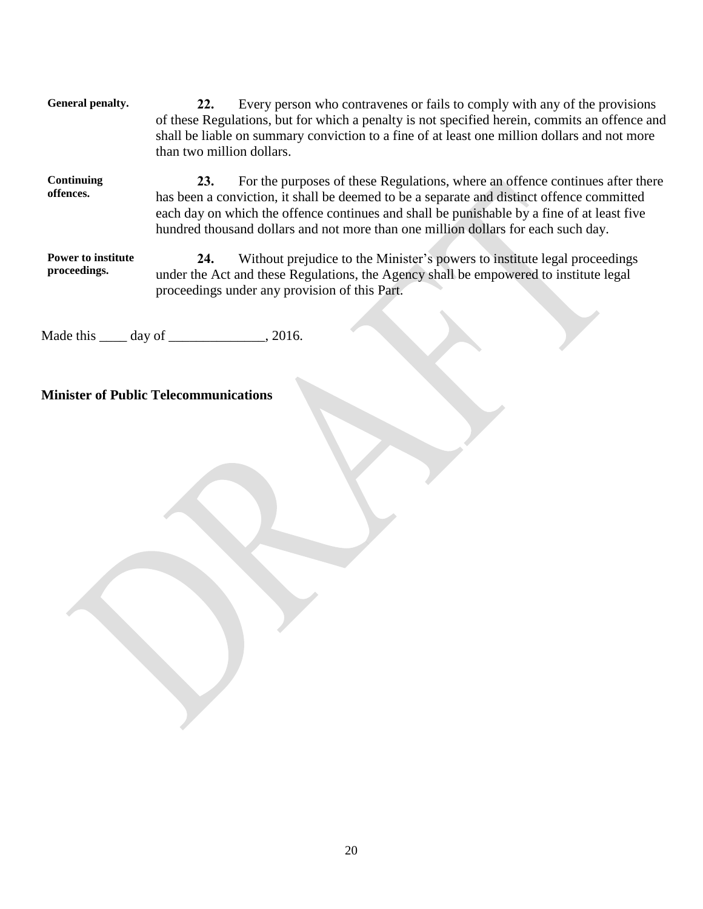| General penalty.                          | Every person who contravenes or fails to comply with any of the provisions<br>22.<br>of these Regulations, but for which a penalty is not specified herein, commits an offence and<br>shall be liable on summary conviction to a fine of at least one million dollars and not more<br>than two million dollars.                                                      |
|-------------------------------------------|----------------------------------------------------------------------------------------------------------------------------------------------------------------------------------------------------------------------------------------------------------------------------------------------------------------------------------------------------------------------|
| Continuing<br>offences.                   | For the purposes of these Regulations, where an offence continues after there<br>23.<br>has been a conviction, it shall be deemed to be a separate and distinct offence committed<br>each day on which the offence continues and shall be punishable by a fine of at least five<br>hundred thousand dollars and not more than one million dollars for each such day. |
| <b>Power to institute</b><br>proceedings. | Without prejudice to the Minister's powers to institute legal proceedings<br>24.<br>under the Act and these Regulations, the Agency shall be empowered to institute legal                                                                                                                                                                                            |

Made this \_\_\_\_\_ day of \_\_\_\_\_\_\_\_\_\_\_\_\_, 2016.

proceedings under any provision of this Part.

**Minister of Public Telecommunications**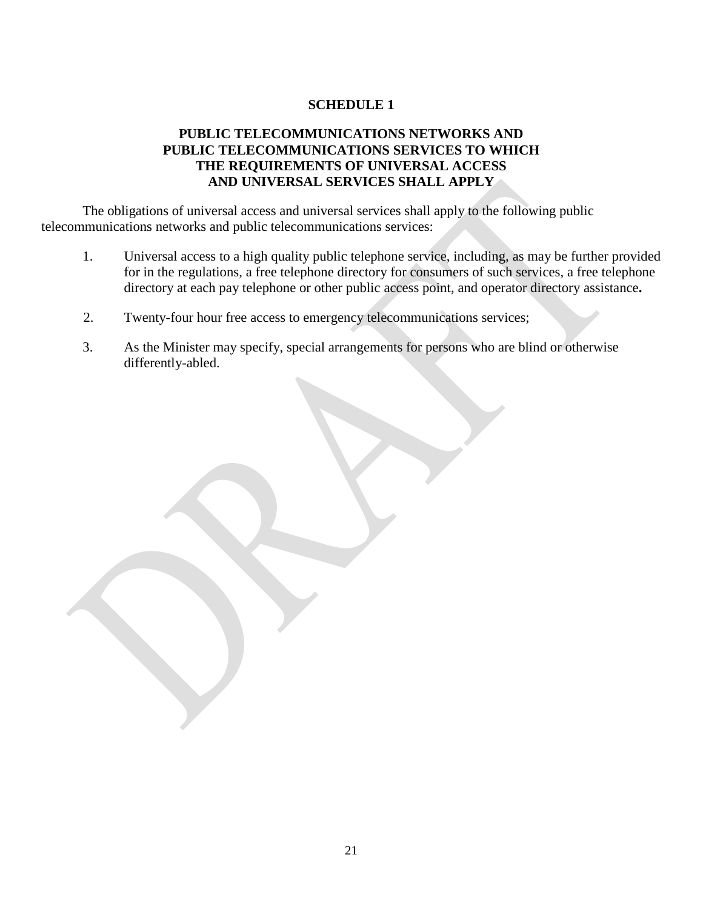### **SCHEDULE 1**

### **PUBLIC TELECOMMUNICATIONS NETWORKS AND PUBLIC TELECOMMUNICATIONS SERVICES TO WHICH THE REQUIREMENTS OF UNIVERSAL ACCESS AND UNIVERSAL SERVICES SHALL APPLY**

The obligations of universal access and universal services shall apply to the following public telecommunications networks and public telecommunications services:

- 1. Universal access to a high quality public telephone service, including, as may be further provided for in the regulations, a free telephone directory for consumers of such services, a free telephone directory at each pay telephone or other public access point, and operator directory assistance**.**
- 2. Twenty-four hour free access to emergency telecommunications services;
- 3. As the Minister may specify, special arrangements for persons who are blind or otherwise differently-abled.